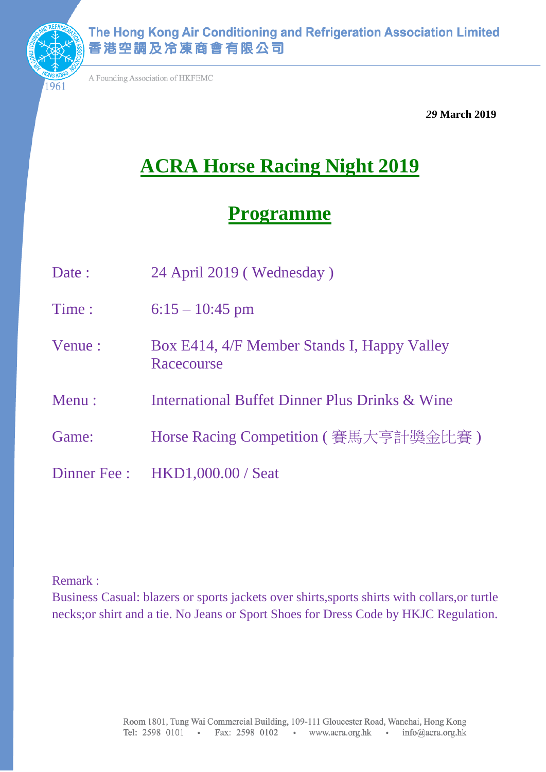

A Founding Association of HKFEMC

 *29* **March 2019**

# **ACRA Horse Racing Night 2019**

## **Programme**

- Date : 24 April 2019 (Wednesday)
- Time :  $6:15 10:45$  pm
- Venue : Box E414, 4/F Member Stands I, Happy Valley Racecourse
- Menu : International Buffet Dinner Plus Drinks & Wine
- Game: Horse Racing Competition ( 賽馬大亨計獎金比賽)
- Dinner Fee : HKD1,000.00 / Seat

Remark :

Business Casual: blazers or sports jackets over shirts,sports shirts with collars,or turtle necks;or shirt and a tie. No Jeans or Sport Shoes for Dress Code by HKJC Regulation.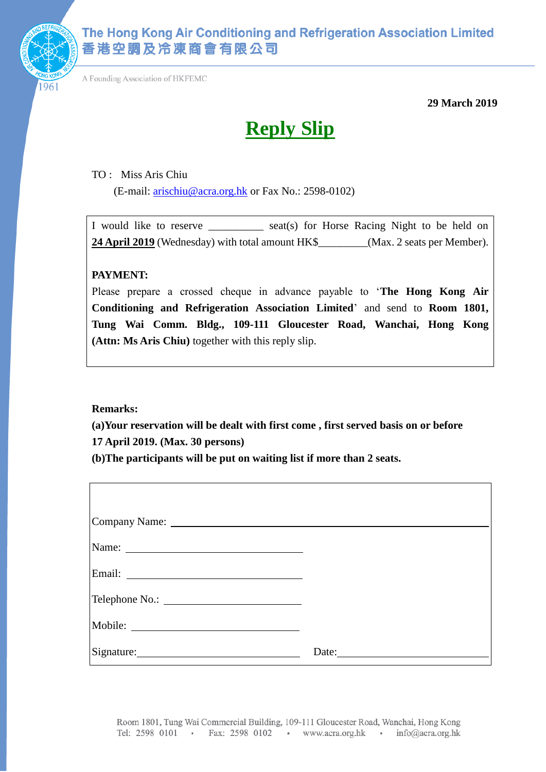

A Founding Association of HKFEMC

**29 March 2019**

# **Reply Slip**

TO : Miss Aris Chiu

(E-mail: [arischiu@acra.org.hk](mailto:arischiu@acra.org.hk) or Fax No.: 2598-0102)

I would like to reserve \_\_\_\_\_\_\_\_\_\_ seat(s) for Horse Racing Night to be held on **24 April 2019** (Wednesday) with total amount HK\$\_\_\_\_\_\_\_\_\_(Max. 2 seats per Member).

#### **PAYMENT:**

Please prepare a crossed cheque in advance payable to '**The Hong Kong Air Conditioning and Refrigeration Association Limited**' and send to **Room 1801, Tung Wai Comm. Bldg., 109-111 Gloucester Road, Wanchai, Hong Kong (Attn: Ms Aris Chiu)** together with this reply slip.

**Remarks:** 

**(a)Your reservation will be dealt with first come , first served basis on or before 17 April 2019. (Max. 30 persons)**

**(b)The participants will be put on waiting list if more than 2 seats.** 

| Signature: | Date: $\qquad \qquad$ |
|------------|-----------------------|